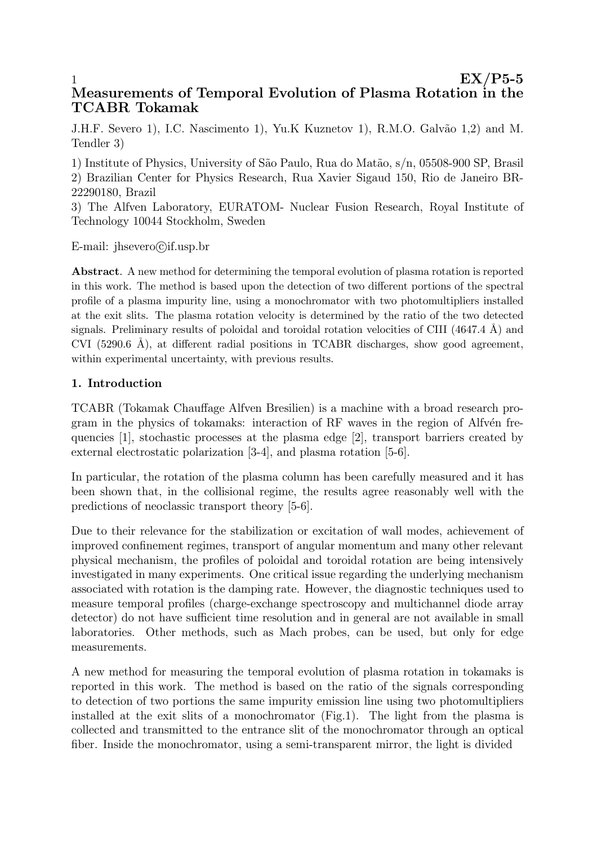# 1 between the state  $EX/P5-5$ Measurements of Temporal Evolution of Plasma Rotation in the TCABR Tokamak

J.H.F. Severo 1), I.C. Nascimento 1), Yu.K Kuznetov 1), R.M.O. Galvão 1,2) and M. Tendler 3)

1) Institute of Physics, University of S˜ao Paulo, Rua do Mat˜ao, s/n, 05508-900 SP, Brasil 2) Brazilian Center for Physics Research, Rua Xavier Sigaud 150, Rio de Janeiro BR-22290180, Brazil

3) The Alfven Laboratory, EURATOM- Nuclear Fusion Research, Royal Institute of Technology 10044 Stockholm, Sweden

E-mail: jhsevero©if.usp.br

Abstract. A new method for determining the temporal evolution of plasma rotation is reported in this work. The method is based upon the detection of two different portions of the spectral profile of a plasma impurity line, using a monochromator with two photomultipliers installed at the exit slits. The plasma rotation velocity is determined by the ratio of the two detected signals. Preliminary results of poloidal and toroidal rotation velocities of CIII  $(4647.4 \text{ Å})$  and CVI (5290.6 Å), at different radial positions in TCABR discharges, show good agreement, within experimental uncertainty, with previous results.

## 1. Introduction

TCABR (Tokamak Chauffage Alfven Bresilien) is a machine with a broad research program in the physics of tokamaks: interaction of  $RF$  waves in the region of Alfv $\acute{e}$ n frequencies [1], stochastic processes at the plasma edge [2], transport barriers created by external electrostatic polarization [3-4], and plasma rotation [5-6].

In particular, the rotation of the plasma column has been carefully measured and it has been shown that, in the collisional regime, the results agree reasonably well with the predictions of neoclassic transport theory [5-6].

Due to their relevance for the stabilization or excitation of wall modes, achievement of improved confinement regimes, transport of angular momentum and many other relevant physical mechanism, the profiles of poloidal and toroidal rotation are being intensively investigated in many experiments. One critical issue regarding the underlying mechanism associated with rotation is the damping rate. However, the diagnostic techniques used to measure temporal profiles (charge-exchange spectroscopy and multichannel diode array detector) do not have sufficient time resolution and in general are not available in small laboratories. Other methods, such as Mach probes, can be used, but only for edge measurements.

A new method for measuring the temporal evolution of plasma rotation in tokamaks is reported in this work. The method is based on the ratio of the signals corresponding to detection of two portions the same impurity emission line using two photomultipliers installed at the exit slits of a monochromator (Fig.1). The light from the plasma is collected and transmitted to the entrance slit of the monochromator through an optical fiber. Inside the monochromator, using a semi-transparent mirror, the light is divided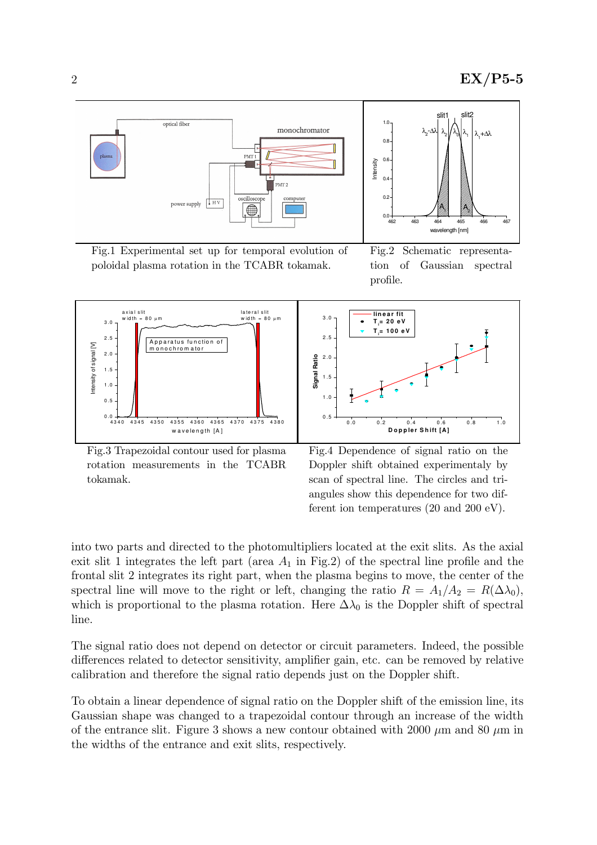

Fig.1 Experimental set up for temporal evolution of poloidal plasma rotation in the TCABR tokamak.

Fig.2 Schematic representation of Gaussian spectral profile.



Fig.3 Trapezoidal contour used for plasma rotation measurements in the TCABR tokamak.

Fig.4 Dependence of signal ratio on the Doppler shift obtained experimentaly by scan of spectral line. The circles and triangules show this dependence for two different ion temperatures (20 and 200 eV).

into two parts and directed to the photomultipliers located at the exit slits. As the axial exit slit 1 integrates the left part (area  $A_1$  in Fig.2) of the spectral line profile and the frontal slit 2 integrates its right part, when the plasma begins to move, the center of the spectral line will move to the right or left, changing the ratio  $R = A_1/A_2 = R(\Delta\lambda_0)$ , which is proportional to the plasma rotation. Here  $\Delta\lambda_0$  is the Doppler shift of spectral line.

The signal ratio does not depend on detector or circuit parameters. Indeed, the possible differences related to detector sensitivity, amplifier gain, etc. can be removed by relative calibration and therefore the signal ratio depends just on the Doppler shift.

To obtain a linear dependence of signal ratio on the Doppler shift of the emission line, its Gaussian shape was changed to a trapezoidal contour through an increase of the width of the entrance slit. Figure 3 shows a new contour obtained with 2000  $\mu$ m and 80  $\mu$ m in the widths of the entrance and exit slits, respectively.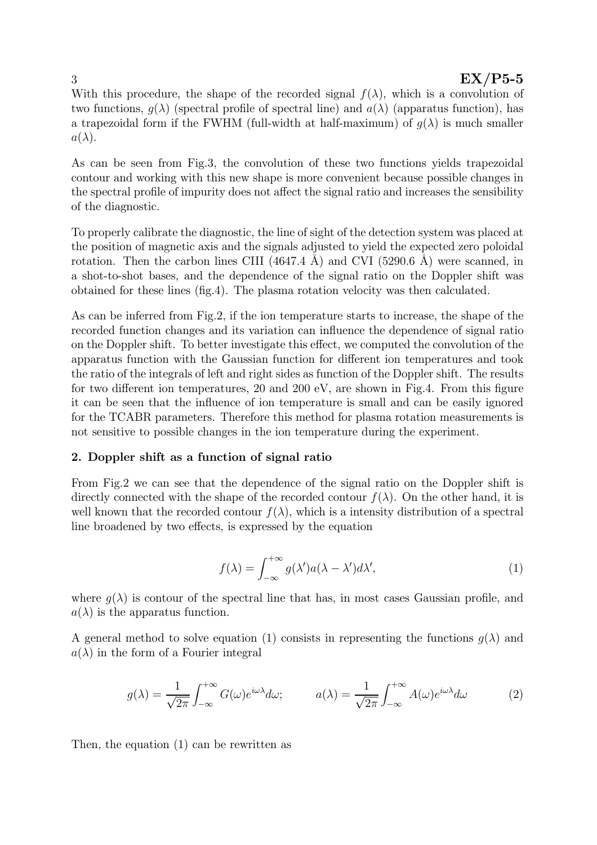## $\rm EX/P5-5$

With this procedure, the shape of the recorded signal  $f(\lambda)$ , which is a convolution of two functions,  $q(\lambda)$  (spectral profile of spectral line) and  $a(\lambda)$  (apparatus function), has a trapezoidal form if the FWHM (full-width at half-maximum) of  $g(\lambda)$  is much smaller  $a(\lambda)$ .

As can be seen from Fig.3, the convolution of these two functions yields trapezoidal contour and working with this new shape is more convenient because possible changes in the spectral profile of impurity does not affect the signal ratio and increases the sensibility of the diagnostic.

To properly calibrate the diagnostic, the line of sight of the detection system was placed at the position of magnetic axis and the signals adjusted to yield the expected zero poloidal rotation. Then the carbon lines CIII  $(4647.4 \text{ Å})$  and CVI  $(5290.6 \text{ Å})$  were scanned, in a shot-to-shot bases, and the dependence of the signal ratio on the Doppler shift was obtained for these lines (fig.4). The plasma rotation velocity was then calculated.

As can be inferred from Fig.2, if the ion temperature starts to increase, the shape of the recorded function changes and its variation can influence the dependence of signal ratio on the Doppler shift. To better investigate this effect, we computed the convolution of the apparatus function with the Gaussian function for different ion temperatures and took the ratio of the integrals of left and right sides as function of the Doppler shift. The results for two different ion temperatures, 20 and 200 eV, are shown in Fig.4. From this figure it can be seen that the influence of ion temperature is small and can be easily ignored for the TCABR parameters. Therefore this method for plasma rotation measurements is not sensitive to possible changes in the ion temperature during the experiment.

## 2. Doppler shift as a function of signal ratio

From Fig.2 we can see that the dependence of the signal ratio on the Doppler shift is directly connected with the shape of the recorded contour  $f(\lambda)$ . On the other hand, it is well known that the recorded contour  $f(\lambda)$ , which is a intensity distribution of a spectral line broadened by two effects, is expressed by the equation

$$
f(\lambda) = \int_{-\infty}^{+\infty} g(\lambda') a(\lambda - \lambda') d\lambda', \tag{1}
$$

where  $g(\lambda)$  is contour of the spectral line that has, in most cases Gaussian profile, and  $a(\lambda)$  is the apparatus function.

A general method to solve equation (1) consists in representing the functions  $g(\lambda)$  and  $a(\lambda)$  in the form of a Fourier integral

$$
g(\lambda) = \frac{1}{\sqrt{2\pi}} \int_{-\infty}^{+\infty} G(\omega) e^{i\omega\lambda} d\omega; \qquad a(\lambda) = \frac{1}{\sqrt{2\pi}} \int_{-\infty}^{+\infty} A(\omega) e^{i\omega\lambda} d\omega \qquad (2)
$$

Then, the equation (1) can be rewritten as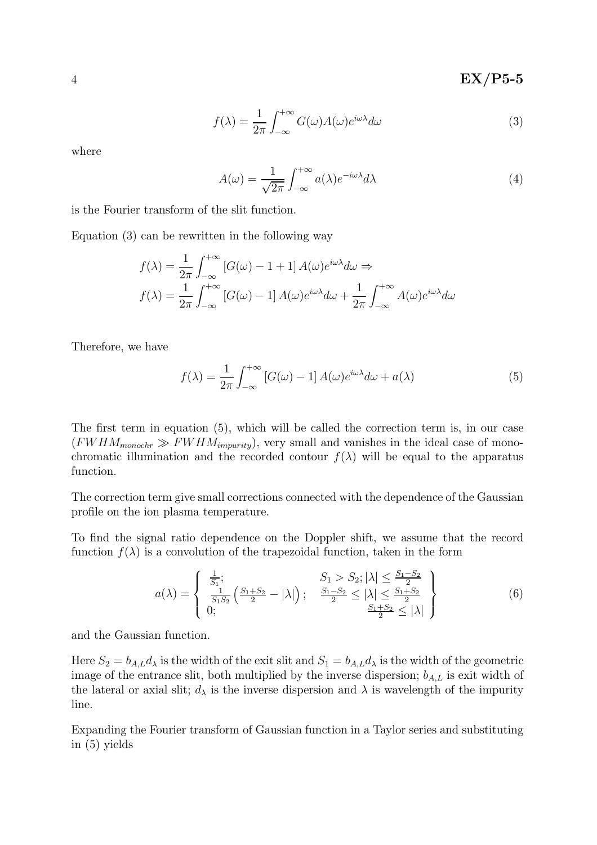4 BY EX/P5-5

$$
f(\lambda) = \frac{1}{2\pi} \int_{-\infty}^{+\infty} G(\omega) A(\omega) e^{i\omega \lambda} d\omega
$$
 (3)

where

$$
A(\omega) = \frac{1}{\sqrt{2\pi}} \int_{-\infty}^{+\infty} a(\lambda) e^{-i\omega\lambda} d\lambda \tag{4}
$$

is the Fourier transform of the slit function.

Equation (3) can be rewritten in the following way

$$
f(\lambda) = \frac{1}{2\pi} \int_{-\infty}^{+\infty} [G(\omega) - 1 + 1] A(\omega) e^{i\omega \lambda} d\omega \Rightarrow
$$
  

$$
f(\lambda) = \frac{1}{2\pi} \int_{-\infty}^{+\infty} [G(\omega) - 1] A(\omega) e^{i\omega \lambda} d\omega + \frac{1}{2\pi} \int_{-\infty}^{+\infty} A(\omega) e^{i\omega \lambda} d\omega
$$

Therefore, we have

$$
f(\lambda) = \frac{1}{2\pi} \int_{-\infty}^{+\infty} [G(\omega) - 1] A(\omega) e^{i\omega\lambda} d\omega + a(\lambda)
$$
 (5)

The first term in equation (5), which will be called the correction term is, in our case  $(FWHM_{monochr} \gg FWHM_{impurity})$ , very small and vanishes in the ideal case of monochromatic illumination and the recorded contour  $f(\lambda)$  will be equal to the apparatus function.

The correction term give small corrections connected with the dependence of the Gaussian profile on the ion plasma temperature.

To find the signal ratio dependence on the Doppler shift, we assume that the record function  $f(\lambda)$  is a convolution of the trapezoidal function, taken in the form

$$
a(\lambda) = \begin{cases} \frac{1}{S_1}; & S_1 > S_2; |\lambda| \le \frac{S_1 - S_2}{2} \\ \frac{1}{S_1 S_2} \left( \frac{S_1 + S_2}{2} - |\lambda| \right); & \frac{S_1 - S_2}{2} \le |\lambda| \le \frac{S_1 + S_2}{2} \\ 0; & \frac{S_1 + S_2}{2} \le |\lambda| \end{cases}
$$
(6)

and the Gaussian function.

Here  $S_2 = b_{A,L}d_{\lambda}$  is the width of the exit slit and  $S_1 = b_{A,L}d_{\lambda}$  is the width of the geometric image of the entrance slit, both multiplied by the inverse dispersion;  $b_{A,L}$  is exit width of the lateral or axial slit;  $d_{\lambda}$  is the inverse dispersion and  $\lambda$  is wavelength of the impurity line.

Expanding the Fourier transform of Gaussian function in a Taylor series and substituting in (5) yields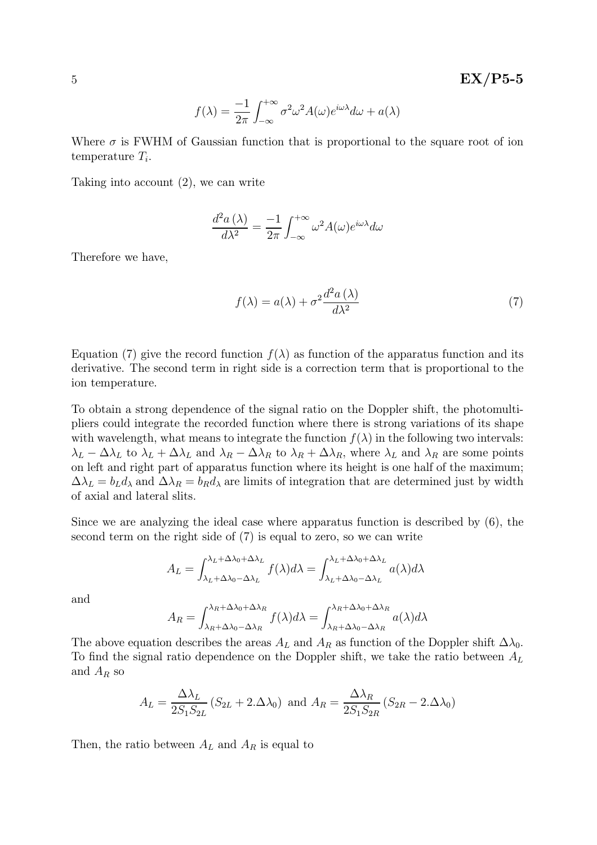$$
f(\lambda) = \frac{-1}{2\pi} \int_{-\infty}^{+\infty} \sigma^2 \omega^2 A(\omega) e^{i\omega\lambda} d\omega + a(\lambda)
$$

Where  $\sigma$  is FWHM of Gaussian function that is proportional to the square root of ion temperature  $T_i$ .

Taking into account (2), we can write

$$
\frac{d^2a\left(\lambda\right)}{d\lambda^2}=\frac{-1}{2\pi}\int_{-\infty}^{+\infty}\omega^2A(\omega)e^{i\omega\lambda}d\omega
$$

Therefore we have,

$$
f(\lambda) = a(\lambda) + \sigma^2 \frac{d^2 a(\lambda)}{d\lambda^2}
$$
 (7)

Equation (7) give the record function  $f(\lambda)$  as function of the apparatus function and its derivative. The second term in right side is a correction term that is proportional to the ion temperature.

To obtain a strong dependence of the signal ratio on the Doppler shift, the photomultipliers could integrate the recorded function where there is strong variations of its shape with wavelength, what means to integrate the function  $f(\lambda)$  in the following two intervals:  $\lambda_L - \Delta\lambda_L$  to  $\lambda_L + \Delta\lambda_L$  and  $\lambda_R - \Delta\lambda_R$  to  $\lambda_R + \Delta\lambda_R$ , where  $\lambda_L$  and  $\lambda_R$  are some points on left and right part of apparatus function where its height is one half of the maximum;  $\Delta\lambda_L = b_L d_\lambda$  and  $\Delta\lambda_R = b_R d_\lambda$  are limits of integration that are determined just by width of axial and lateral slits.

Since we are analyzing the ideal case where apparatus function is described by (6), the second term on the right side of (7) is equal to zero, so we can write

$$
A_L = \int_{\lambda_L + \Delta\lambda_0 - \Delta\lambda_L}^{\lambda_L + \Delta\lambda_0 + \Delta\lambda_L} f(\lambda) d\lambda = \int_{\lambda_L + \Delta\lambda_0 - \Delta\lambda_L}^{\lambda_L + \Delta\lambda_0 + \Delta\lambda_L} a(\lambda) d\lambda
$$

and

$$
A_R = \int_{\lambda_R + \Delta\lambda_0 - \Delta\lambda_R}^{\lambda_R + \Delta\lambda_0 + \Delta\lambda_R} f(\lambda) d\lambda = \int_{\lambda_R + \Delta\lambda_0 - \Delta\lambda_R}^{\lambda_R + \Delta\lambda_0 + \Delta\lambda_R} a(\lambda) d\lambda
$$

The above equation describes the areas  $A_L$  and  $A_R$  as function of the Doppler shift  $\Delta\lambda_0$ . To find the signal ratio dependence on the Doppler shift, we take the ratio between  $A_L$ and  $A_R$  so

$$
A_L = \frac{\Delta\lambda_L}{2S_1S_{2L}} \left( S_{2L} + 2.\Delta\lambda_0 \right) \text{ and } A_R = \frac{\Delta\lambda_R}{2S_1S_{2R}} \left( S_{2R} - 2.\Delta\lambda_0 \right)
$$

Then, the ratio between  $A_L$  and  $A_R$  is equal to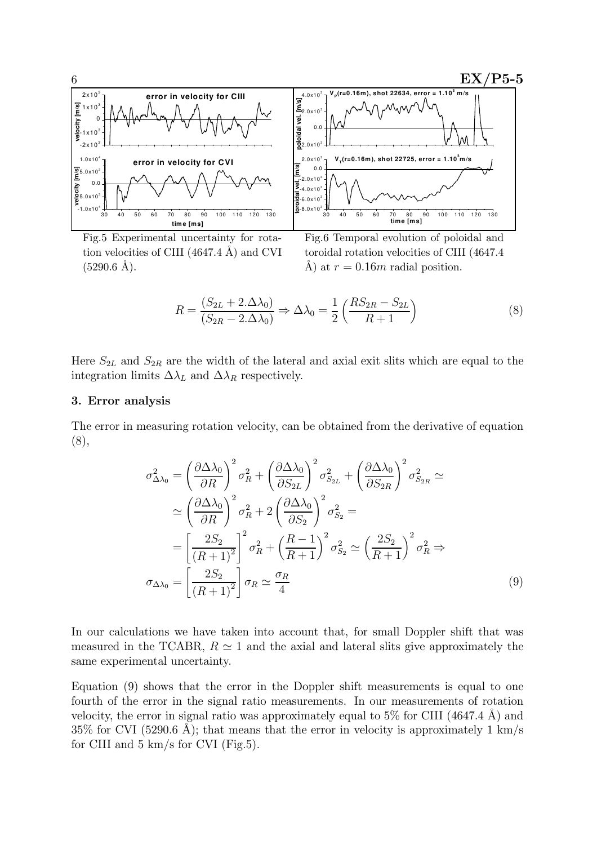

Fig.5 Experimental uncertainty for rotation velocities of CIII  $(4647.4 \text{ Å})$  and CVI  $(5290.6 \text{ Å})$ .

Fig.6 Temporal evolution of poloidal and toroidal rotation velocities of CIII (4647.4 Å) at  $r = 0.16m$  radial position.

$$
R = \frac{(S_{2L} + 2.\Delta\lambda_0)}{(S_{2R} - 2.\Delta\lambda_0)} \Rightarrow \Delta\lambda_0 = \frac{1}{2} \left(\frac{RS_{2R} - S_{2L}}{R + 1}\right)
$$
(8)

Here  $S_{2L}$  and  $S_{2R}$  are the width of the lateral and axial exit slits which are equal to the integration limits  $\Delta \lambda_L$  and  $\Delta \lambda_R$  respectively.

### 3. Error analysis

The error in measuring rotation velocity, can be obtained from the derivative of equation (8),

$$
\sigma_{\Delta\lambda_0}^2 = \left(\frac{\partial \Delta\lambda_0}{\partial R}\right)^2 \sigma_R^2 + \left(\frac{\partial \Delta\lambda_0}{\partial S_{2L}}\right)^2 \sigma_{S_{2L}}^2 + \left(\frac{\partial \Delta\lambda_0}{\partial S_{2R}}\right)^2 \sigma_{S_{2R}}^2 \simeq
$$
  
\n
$$
\simeq \left(\frac{\partial \Delta\lambda_0}{\partial R}\right)^2 \sigma_R^2 + 2\left(\frac{\partial \Delta\lambda_0}{\partial S_2}\right)^2 \sigma_{S_2}^2 =
$$
  
\n
$$
= \left[\frac{2S_2}{(R+1)^2}\right]^2 \sigma_R^2 + \left(\frac{R-1}{R+1}\right)^2 \sigma_{S_2}^2 \simeq \left(\frac{2S_2}{R+1}\right)^2 \sigma_R^2 \Rightarrow
$$
  
\n
$$
\sigma_{\Delta\lambda_0} = \left[\frac{2S_2}{(R+1)^2}\right] \sigma_R \simeq \frac{\sigma_R}{4}
$$
 (9)

In our calculations we have taken into account that, for small Doppler shift that was measured in the TCABR,  $R \simeq 1$  and the axial and lateral slits give approximately the same experimental uncertainty.

Equation (9) shows that the error in the Doppler shift measurements is equal to one fourth of the error in the signal ratio measurements. In our measurements of rotation velocity, the error in signal ratio was approximately equal to  $5\%$  for CIII (4647.4 Å) and  $35\%$  for CVI (5290.6 Å); that means that the error in velocity is approximately 1 km/s for CIII and  $5 \text{ km/s}$  for CVI (Fig.5).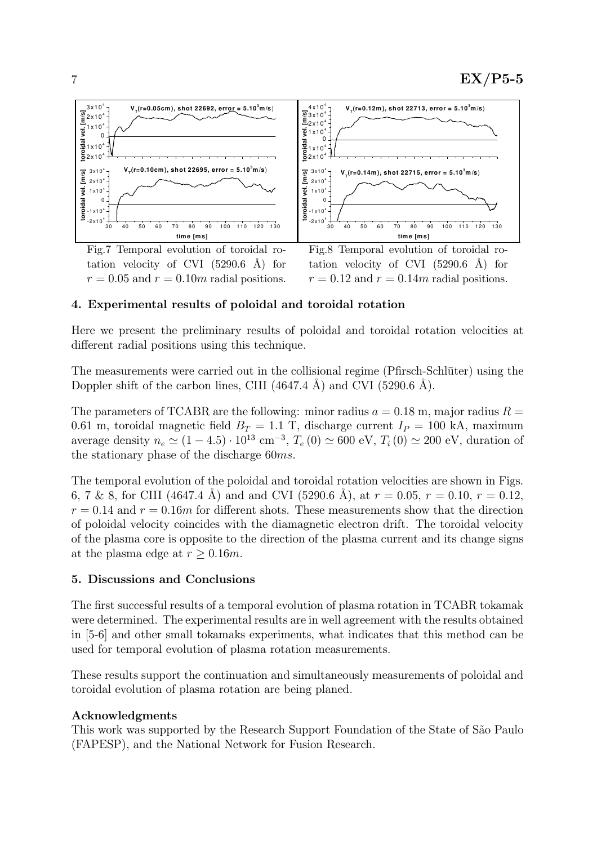

4. Experimental results of poloidal and toroidal rotation

 $r = 0.05$  and  $r = 0.10$ m radial positions.

Here we present the preliminary results of poloidal and toroidal rotation velocities at different radial positions using this technique.

 $r = 0.12$  and  $r = 0.14m$  radial positions.

The measurements were carried out in the collisional regime (Pfirsch-Schlüter) using the Doppler shift of the carbon lines, CIII  $(4647.4 \text{ Å})$  and CVI  $(5290.6 \text{ Å})$ .

The parameters of TCABR are the following: minor radius  $a = 0.18$  m, major radius  $R =$ 0.61 m, toroidal magnetic field  $B_T = 1.1$  T, discharge current  $I_P = 100$  kA, maximum average density  $n_e \simeq (1 - 4.5) \cdot 10^{13} \text{ cm}^{-3}$ ,  $T_e (0) \simeq 600 \text{ eV}$ ,  $T_i (0) \simeq 200 \text{ eV}$ , duration of the stationary phase of the discharge 60ms.

The temporal evolution of the poloidal and toroidal rotation velocities are shown in Figs. 6, 7 & 8, for CIII (4647.4 Å) and and CVI (5290.6 Å), at  $r = 0.05$ ,  $r = 0.10$ ,  $r = 0.12$ ,  $r = 0.14$  and  $r = 0.16m$  for different shots. These measurements show that the direction of poloidal velocity coincides with the diamagnetic electron drift. The toroidal velocity of the plasma core is opposite to the direction of the plasma current and its change signs at the plasma edge at  $r \geq 0.16m$ .

## 5. Discussions and Conclusions

The first successful results of a temporal evolution of plasma rotation in TCABR tokamak were determined. The experimental results are in well agreement with the results obtained in [5-6] and other small tokamaks experiments, what indicates that this method can be used for temporal evolution of plasma rotation measurements.

These results support the continuation and simultaneously measurements of poloidal and toroidal evolution of plasma rotation are being planed.

## Acknowledgments

This work was supported by the Research Support Foundation of the State of S˜ao Paulo (FAPESP), and the National Network for Fusion Research.